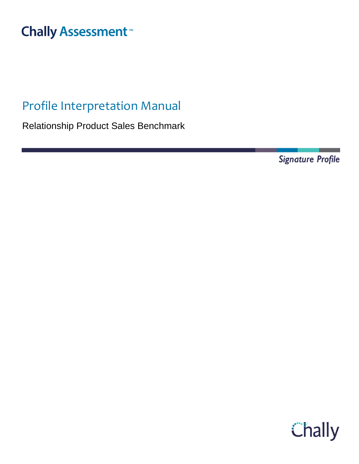# **Chally Assessment**<sup>™</sup>

## Profile Interpretation Manual

Relationship Product Sales Benchmark

**Signature Profile** 

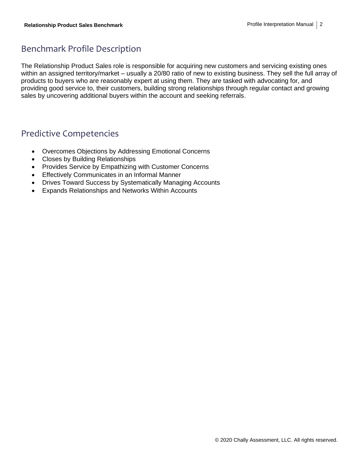## Benchmark Profile Description

The Relationship Product Sales role is responsible for acquiring new customers and servicing existing ones within an assigned territory/market – usually a 20/80 ratio of new to existing business. They sell the full array of products to buyers who are reasonably expert at using them. They are tasked with advocating for, and providing good service to, their customers, building strong relationships through regular contact and growing sales by uncovering additional buyers within the account and seeking referrals.

#### Predictive Competencies

- Overcomes Objections by Addressing Emotional Concerns
- Closes by Building Relationships
- Provides Service by Empathizing with Customer Concerns
- Effectively Communicates in an Informal Manner
- Drives Toward Success by Systematically Managing Accounts
- Expands Relationships and Networks Within Accounts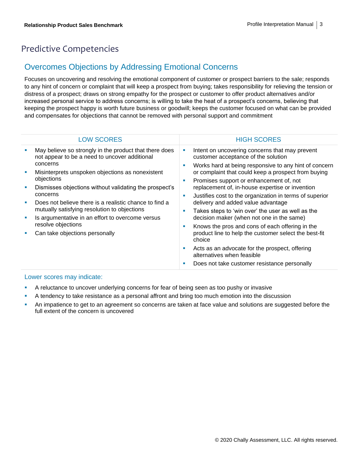## Predictive Competencies

#### Overcomes Objections by Addressing Emotional Concerns

Focuses on uncovering and resolving the emotional component of customer or prospect barriers to the sale; responds to any hint of concern or complaint that will keep a prospect from buying; takes responsibility for relieving the tension or distress of a prospect; draws on strong empathy for the prospect or customer to offer product alternatives and/or increased personal service to address concerns; is willing to take the heat of a prospect's concerns, believing that keeping the prospect happy is worth future business or goodwill; keeps the customer focused on what can be provided and compensates for objections that cannot be removed with personal support and commitment

| <b>LOW SCORES</b>                                                                                                                                                                                                                                                                                                                                                                                                                                                                 | <b>HIGH SCORES</b>                                                                                                                                                                                                                                                                                                                                                                                                                                                                                                                                                                                                                                                                                                                                                                          |
|-----------------------------------------------------------------------------------------------------------------------------------------------------------------------------------------------------------------------------------------------------------------------------------------------------------------------------------------------------------------------------------------------------------------------------------------------------------------------------------|---------------------------------------------------------------------------------------------------------------------------------------------------------------------------------------------------------------------------------------------------------------------------------------------------------------------------------------------------------------------------------------------------------------------------------------------------------------------------------------------------------------------------------------------------------------------------------------------------------------------------------------------------------------------------------------------------------------------------------------------------------------------------------------------|
| May believe so strongly in the product that there does<br>not appear to be a need to uncover additional<br>concerns<br>Misinterprets unspoken objections as nonexistent<br>objections<br>Dismisses objections without validating the prospect's<br>concerns<br>Does not believe there is a realistic chance to find a<br>mutually satisfying resolution to objections<br>Is argumentative in an effort to overcome versus<br>resolve objections<br>Can take objections personally | Intent on uncovering concerns that may prevent<br>L.<br>customer acceptance of the solution<br>Works hard at being responsive to any hint of concern<br>п<br>or complaint that could keep a prospect from buying<br>Promises support or enhancement of, not<br>п<br>replacement of, in-house expertise or invention<br>Justifies cost to the organization in terms of superior<br>п<br>delivery and added value advantage<br>Takes steps to 'win over' the user as well as the<br>decision maker (when not one in the same)<br>Knows the pros and cons of each offering in the<br>п<br>product line to help the customer select the best-fit<br>choice<br>Acts as an advocate for the prospect, offering<br>п<br>alternatives when feasible<br>Does not take customer resistance personally |

- **EXECT** A reluctance to uncover underlying concerns for fear of being seen as too pushy or invasive
- **•** A tendency to take resistance as a personal affront and bring too much emotion into the discussion
- **•** An impatience to get to an agreement so concerns are taken at face value and solutions are suggested before the full extent of the concern is uncovered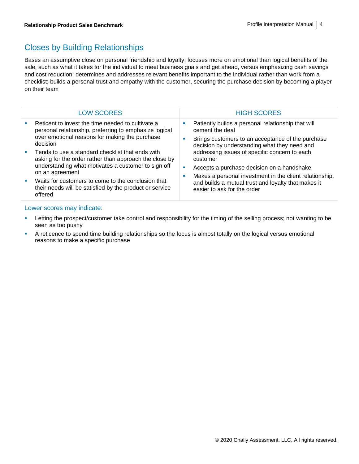## Closes by Building Relationships

Bases an assumptive close on personal friendship and loyalty; focuses more on emotional than logical benefits of the sale, such as what it takes for the individual to meet business goals and get ahead, versus emphasizing cash savings and cost reduction; determines and addresses relevant benefits important to the individual rather than work from a checklist; builds a personal trust and empathy with the customer, securing the purchase decision by becoming a player on their team

|                             | <b>LOW SCORES</b>                                                                                                                                                         |                             | <b>HIGH SCORES</b>                                                                                             |
|-----------------------------|---------------------------------------------------------------------------------------------------------------------------------------------------------------------------|-----------------------------|----------------------------------------------------------------------------------------------------------------|
|                             | Reticent to invest the time needed to cultivate a<br>personal relationship, preferring to emphasize logical<br>over emotional reasons for making the purchase<br>decision | ш                           | Patiently builds a personal relationship that will<br>cement the deal                                          |
|                             |                                                                                                                                                                           |                             | Brings customers to an acceptance of the purchase<br>decision by understanding what they need and              |
|                             | Tends to use a standard checklist that ends with<br>asking for the order rather than approach the close by                                                                |                             | addressing issues of specific concern to each<br>customer                                                      |
|                             | understanding what motivates a customer to sign off<br>on an agreement                                                                                                    | ш<br>ш                      | Accepts a purchase decision on a handshake                                                                     |
| $\mathcal{L}_{\mathcal{A}}$ | Waits for customers to come to the conclusion that<br>their needs will be satisfied by the product or service<br>offered                                                  | easier to ask for the order | Makes a personal investment in the client relationship,<br>and builds a mutual trust and loyalty that makes it |

- **EXECT LETT LETT IS CONTEGRATE THE VERGON CONTEGRATE IS CONTENT** LETT LETT LETT IS DETERMINE TO be LETT LETT IS NOT THE ISSUE OF  $\frac{1}{2}$  Letting the prospect/customer take control and responsibility for the timing of the seen as too pushy
- **•** A reticence to spend time building relationships so the focus is almost totally on the logical versus emotional reasons to make a specific purchase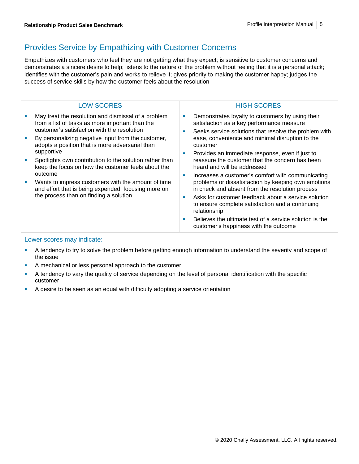## Provides Service by Empathizing with Customer Concerns

Empathizes with customers who feel they are not getting what they expect; is sensitive to customer concerns and demonstrates a sincere desire to help; listens to the nature of the problem without feeling that it is a personal attack; identifies with the customer's pain and works to relieve it; gives priority to making the customer happy; judges the success of service skills by how the customer feels about the resolution

| May treat the resolution and dismissal of a problem<br>Demonstrates loyalty to customers by using their<br>from a list of tasks as more important than the<br>satisfaction as a key performance measure<br>customer's satisfaction with the resolution<br>Seeks service solutions that resolve the problem with<br>ease, convenience and minimal disruption to the<br>By personalizing negative input from the customer,<br>adopts a position that is more adversarial than<br>customer<br>supportive<br>Provides an immediate response, even if just to<br>reassure the customer that the concern has been<br>Spotlights own contribution to the solution rather than<br>keep the focus on how the customer feels about the<br>heard and will be addressed<br>outcome<br>Increases a customer's comfort with communicating<br>problems or dissatisfaction by keeping own emotions<br>Wants to impress customers with the amount of time<br>in check and absent from the resolution process<br>and effort that is being expended, focusing more on<br>the process than on finding a solution<br>Asks for customer feedback about a service solution<br>to ensure complete satisfaction and a continuing<br>relationship<br>Believes the ultimate test of a service solution is the<br>customer's happiness with the outcome | <b>LOW SCORES</b> | <b>HIGH SCORES</b> |
|-----------------------------------------------------------------------------------------------------------------------------------------------------------------------------------------------------------------------------------------------------------------------------------------------------------------------------------------------------------------------------------------------------------------------------------------------------------------------------------------------------------------------------------------------------------------------------------------------------------------------------------------------------------------------------------------------------------------------------------------------------------------------------------------------------------------------------------------------------------------------------------------------------------------------------------------------------------------------------------------------------------------------------------------------------------------------------------------------------------------------------------------------------------------------------------------------------------------------------------------------------------------------------------------------------------------------------|-------------------|--------------------|
|                                                                                                                                                                                                                                                                                                                                                                                                                                                                                                                                                                                                                                                                                                                                                                                                                                                                                                                                                                                                                                                                                                                                                                                                                                                                                                                             | ш<br>٠<br>ш       |                    |

- **EXECT** A tendency to try to solve the problem before getting enough information to understand the severity and scope of the issue
- A mechanical or less personal approach to the customer
- A tendency to vary the quality of service depending on the level of personal identification with the specific customer
- A desire to be seen as an equal with difficulty adopting a service orientation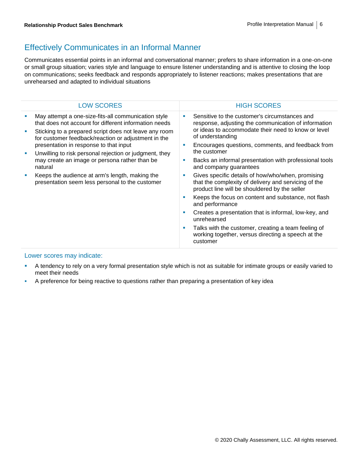## Effectively Communicates in an Informal Manner

Communicates essential points in an informal and conversational manner; prefers to share information in a one-on-one or small group situation; varies style and language to ensure listener understanding and is attentive to closing the loop on communications; seeks feedback and responds appropriately to listener reactions; makes presentations that are unrehearsed and adapted to individual situations

|   | <b>LOW SCORES</b>                                                                                                                                                                                                            |         | <b>HIGH SCORES</b>                                                                                                                                                               |
|---|------------------------------------------------------------------------------------------------------------------------------------------------------------------------------------------------------------------------------|---------|----------------------------------------------------------------------------------------------------------------------------------------------------------------------------------|
|   | May attempt a one-size-fits-all communication style<br>that does not account for different information needs<br>Sticking to a prepared script does not leave any room<br>for customer feedback/reaction or adjustment in the | a.<br>ш | Sensitive to the customer's circumstances and<br>response, adjusting the communication of information<br>or ideas to accommodate their need to know or level<br>of understanding |
| ш | presentation in response to that input<br>Unwilling to risk personal rejection or judgment, they<br>may create an image or persona rather than be<br>natural                                                                 |         | Encourages questions, comments, and feedback from<br>the customer                                                                                                                |
|   |                                                                                                                                                                                                                              |         | Backs an informal presentation with professional tools<br>and company guarantees                                                                                                 |
| ш | Keeps the audience at arm's length, making the<br>presentation seem less personal to the customer                                                                                                                            | a.      | Gives specific details of how/who/when, promising<br>that the complexity of delivery and servicing of the<br>product line will be shouldered by the seller                       |
|   |                                                                                                                                                                                                                              | ш       | Keeps the focus on content and substance, not flash<br>and performance                                                                                                           |
|   |                                                                                                                                                                                                                              | a.      | Creates a presentation that is informal, low-key, and<br>unrehearsed                                                                                                             |
|   |                                                                                                                                                                                                                              | ш       | Talks with the customer, creating a team feeling of<br>working together, versus directing a speech at the<br>customer                                                            |
|   |                                                                                                                                                                                                                              |         |                                                                                                                                                                                  |

- **EXECT** A tendency to rely on a very formal presentation style which is not as suitable for intimate groups or easily varied to meet their needs
- A preference for being reactive to questions rather than preparing a presentation of key idea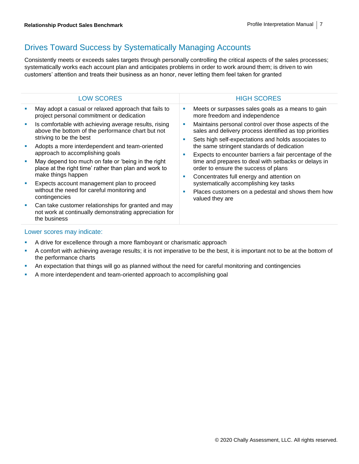## Drives Toward Success by Systematically Managing Accounts

Consistently meets or exceeds sales targets through personally controlling the critical aspects of the sales processes; systematically works each account plan and anticipates problems in order to work around them; is driven to win customers' attention and treats their business as an honor, never letting them feel taken for granted

| <b>LOW SCORES</b>                                                                                                                     |                                                                                                                | <b>HIGH SCORES</b>                                                                                                                                                     |
|---------------------------------------------------------------------------------------------------------------------------------------|----------------------------------------------------------------------------------------------------------------|------------------------------------------------------------------------------------------------------------------------------------------------------------------------|
| May adopt a casual or relaxed approach that fails to<br>project personal commitment or dedication                                     |                                                                                                                | Meets or surpasses sales goals as a means to gain<br>more freedom and independence                                                                                     |
| Is comfortable with achieving average results, rising<br>above the bottom of the performance chart but not<br>striving to be the best | г<br>order to ensure the success of plans<br>Concentrates full energy and attention on<br>г<br>valued they are | Maintains personal control over those aspects of the<br>sales and delivery process identified as top priorities<br>Sets high self-expectations and holds associates to |
| Adopts a more interdependent and team-oriented<br>approach to accomplishing goals                                                     |                                                                                                                | the same stringent standards of dedication<br>Expects to encounter barriers a fair percentage of the                                                                   |
| May depend too much on fate or 'being in the right<br>place at the right time' rather than plan and work to<br>make things happen     |                                                                                                                | time and prepares to deal with setbacks or delays in                                                                                                                   |
| Expects account management plan to proceed<br>without the need for careful monitoring and<br>contingencies                            |                                                                                                                | systematically accomplishing key tasks<br>Places customers on a pedestal and shows them how                                                                            |
| Can take customer relationships for granted and may<br>not work at continually demonstrating appreciation for<br>the business         |                                                                                                                |                                                                                                                                                                        |
|                                                                                                                                       |                                                                                                                |                                                                                                                                                                        |

- A drive for excellence through a more flamboyant or charismatic approach
- A comfort with achieving average results; it is not imperative to be the best, it is important not to be at the bottom of the performance charts
- **•** An expectation that things will go as planned without the need for careful monitoring and contingencies
- A more interdependent and team-oriented approach to accomplishing goal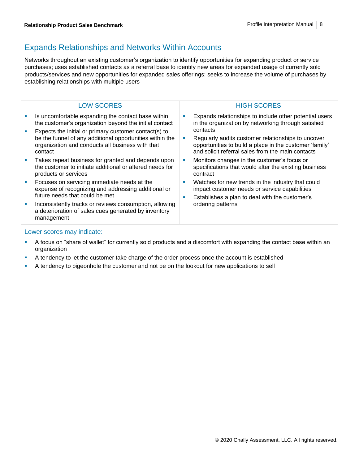#### Expands Relationships and Networks Within Accounts

Networks throughout an existing customer's organization to identify opportunities for expanding product or service purchases; uses established contacts as a referral base to identify new areas for expanded usage of currently sold products/services and new opportunities for expanded sales offerings; seeks to increase the volume of purchases by establishing relationships with multiple users

|    | <b>LOW SCORES</b>                                                                                                                                                                |         | <b>HIGH SCORES</b>                                                                                                                                                             |
|----|----------------------------------------------------------------------------------------------------------------------------------------------------------------------------------|---------|--------------------------------------------------------------------------------------------------------------------------------------------------------------------------------|
| I. | Is uncomfortable expanding the contact base within<br>the customer's organization beyond the initial contact                                                                     | ш       | Expands relationships to include other potential users<br>in the organization by networking through satisfied                                                                  |
| I. | Expects the initial or primary customer contact(s) to<br>be the funnel of any additional opportunities within the<br>organization and conducts all business with that<br>contact | ш       | contacts<br>Regularly audits customer relationships to uncover<br>opportunities to build a place in the customer 'family'<br>and solicit referral sales from the main contacts |
| ш  | Takes repeat business for granted and depends upon<br>the customer to initiate additional or altered needs for<br>products or services                                           |         | Monitors changes in the customer's focus or<br>specifications that would alter the existing business<br>contract                                                               |
| ш  | Focuses on servicing immediate needs at the<br>expense of recognizing and addressing additional or<br>future needs that could be met                                             | M.<br>ш | Watches for new trends in the industry that could<br>impact customer needs or service capabilities<br>Establishes a plan to deal with the customer's                           |
| ×  | Inconsistently tracks or reviews consumption, allowing<br>a deterioration of sales cues generated by inventory<br>management                                                     |         | ordering patterns                                                                                                                                                              |

- **•** A focus on "share of wallet" for currently sold products and a discomfort with expanding the contact base within an organization
- **•** A tendency to let the customer take charge of the order process once the account is established
- **•** A tendency to pigeonhole the customer and not be on the lookout for new applications to sell